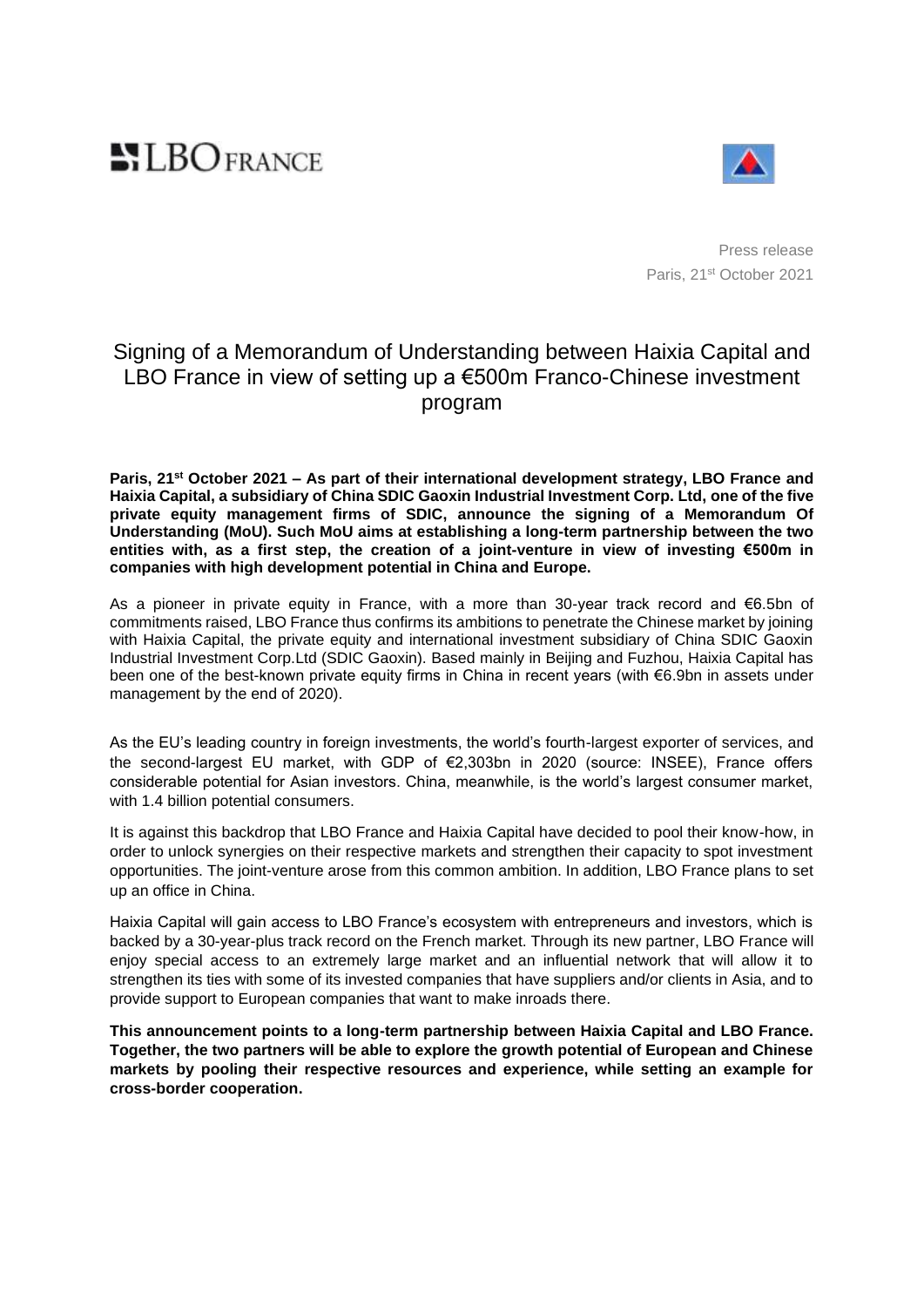# **NLBOFRANCE**



Press release Paris, 21st October 2021

# Signing of a Memorandum of Understanding between Haixia Capital and LBO France in view of setting up a €500m Franco-Chinese investment program

**Paris, 21st October 2021 – As part of their international development strategy, LBO France and Haixia Capital, a subsidiary of China SDIC Gaoxin Industrial Investment Corp. Ltd, one of the five private equity management firms of SDIC, announce the signing of a Memorandum Of Understanding (MoU). Such MoU aims at establishing a long-term partnership between the two entities with, as a first step, the creation of a joint-venture in view of investing €500m in companies with high development potential in China and Europe.** 

As a pioneer in private equity in France, with a more than 30-year track record and €6.5bn of commitments raised, LBO France thus confirms its ambitions to penetrate the Chinese market by joining with Haixia Capital, the private equity and international investment subsidiary of China SDIC Gaoxin Industrial Investment Corp.Ltd (SDIC Gaoxin). Based mainly in Beijing and Fuzhou, Haixia Capital has been one of the best-known private equity firms in China in recent years (with €6.9bn in assets under management by the end of 2020).

As the EU's leading country in foreign investments, the world's fourth-largest exporter of services, and the second-largest EU market, with GDP of €2,303bn in 2020 (source: INSEE), France offers considerable potential for Asian investors. China, meanwhile, is the world's largest consumer market, with 1.4 billion potential consumers.

It is against this backdrop that LBO France and Haixia Capital have decided to pool their know-how, in order to unlock synergies on their respective markets and strengthen their capacity to spot investment opportunities. The joint-venture arose from this common ambition. In addition, LBO France plans to set up an office in China.

Haixia Capital will gain access to LBO France's ecosystem with entrepreneurs and investors, which is backed by a 30-year-plus track record on the French market. Through its new partner, LBO France will enjoy special access to an extremely large market and an influential network that will allow it to strengthen its ties with some of its invested companies that have suppliers and/or clients in Asia, and to provide support to European companies that want to make inroads there.

**This announcement points to a long-term partnership between Haixia Capital and LBO France. Together, the two partners will be able to explore the growth potential of European and Chinese markets by pooling their respective resources and experience, while setting an example for cross-border cooperation.**